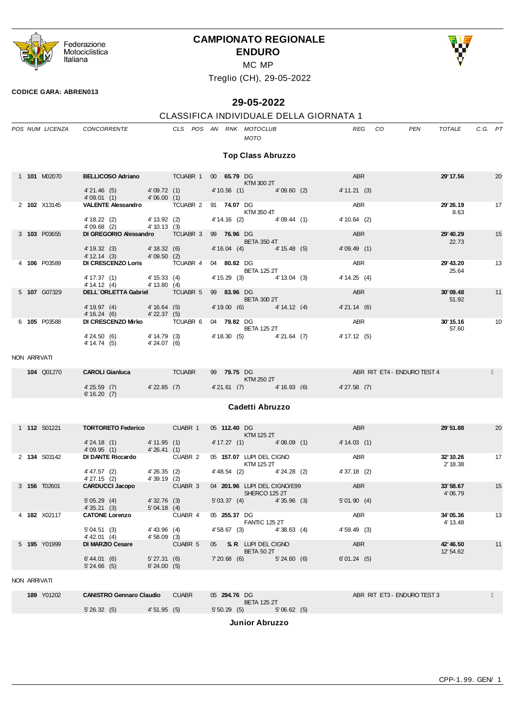

# **CAMPIONATO REGIONALE ENDURO**



MC MP

Treglio (CH), 29-05-2022

#### **CODICE GARA: ABREN013**

# **29-05-2022**

# CLASSIFICA INDIVIDUALE DELLA GIORNATA 1

|              | POS NUM LICENZA     | CONCORRENTE                                            |                               | CLS POS AN RNK MOTOCLUB |              |               | MOTO                                                 |            |                         | <b>REG</b>    | CO | <b>PEN</b>                  | <b>TOTALE</b>          | C.G. PT |    |
|--------------|---------------------|--------------------------------------------------------|-------------------------------|-------------------------|--------------|---------------|------------------------------------------------------|------------|-------------------------|---------------|----|-----------------------------|------------------------|---------|----|
|              |                     |                                                        |                               |                         |              |               | <b>Top Class Abruzzo</b>                             |            |                         |               |    |                             |                        |         |    |
|              | 1 101 M02070        |                                                        |                               |                         |              |               | $KTM$ 300 2T                                         |            |                         | ABR           |    |                             | 29' 17.56              |         | 20 |
|              |                     | 4' 21.46 (5) 4' 09.72 (1)<br>4' 09.01 (1) 4' 06.00 (1) |                               |                         |              |               | 4' 10.56 (1) 4' 09.60 (2)                            |            |                         | 4' 11.21 (3)  |    |                             |                        |         |    |
|              | 2 102 X13145        | VALENTE Alessandro TCUABR 2 91 74.07 DG                |                               |                         |              |               | KTM 350 4T                                           |            |                         | ABR           |    |                             | 29'26.19<br>8.63       |         | 17 |
|              |                     | 4' 18.22 (2) 4' 13.92 (2)<br>4' 09.68 (2) 4' 10.13 (3) |                               |                         |              |               | 4' 14.16 (2) 4' 09.44 (1)                            |            |                         | $4'10.64$ (2) |    |                             |                        |         |    |
|              | 3 103 P03655        | DI GREGORIO Alessandro TCUABR 3                        |                               |                         |              |               | 99 76.96 DG 2001 10:00<br><b>EXAMPLE BETA 350 4T</b> |            |                         | ABR           |    |                             | 29' 40.29<br>22.73     |         | 15 |
|              |                     | 4' 19.32 (3) 4' 18.32 (6)<br>4' 12.14 (3) 4' 09.50 (2) |                               |                         |              |               | 4' 16.04 (4) 4' 15.48 (5)                            |            |                         | 4'09.49(1)    |    |                             |                        |         |    |
|              | 4 106 P03589        | DI CRESCENZO Loris TCUABR 4                            |                               |                         |              |               | 04 80.82 DG<br><b>BETA 125 2T</b>                    |            |                         | ABR           |    |                             | 29'43.20<br>25.64      |         | 13 |
|              |                     | 4' 17.37 (1) 4' 15.33 (4)<br>4' 14.12 (4)              | 4' 13.80 (4)                  |                         |              |               | 4' 15.29 (3) 4' 13.04 (3)                            |            |                         | 4' 14.25 (4)  |    |                             |                        |         |    |
|              | 5 107 G07329        | DELL'ORLETTA Gabriel TCUABR 5 99 83.96 DG              |                               |                         |              |               | <b>BETA 300 2T</b>                                   |            |                         | ABR           |    |                             | 30'09.48<br>51.92      |         | 11 |
|              |                     | 4' 19.97 (4) 4' 16.64 (5)<br>$4'16.24(6)$ $4'22.37(5)$ |                               |                         |              |               | 4' 19.00 (6) 4' 14.12 (4)                            |            |                         | 4'21.14(6)    |    |                             |                        |         |    |
|              | 6 105 P03588        | DICRESCENZO Mirko TCUABR 6 04 79.82 DG                 |                               |                         |              |               | <b>BETA 125 2T</b>                                   |            |                         | ABR           |    |                             | 30'15.16<br>57.60      |         | 10 |
|              |                     | 4'24.50 (6)<br>4' 14.74 (5)                            | 4' 14.79 (3)<br>4' 24.07 (6)  |                         |              |               | 4'18.30 (5) 4'21.64 (7)                              |            |                         | 4' 17.12 (5)  |    |                             |                        |         |    |
| NON ARRIVATI |                     |                                                        |                               |                         |              |               |                                                      |            |                         |               |    |                             |                        |         |    |
|              | <b>104 Q01270</b>   | <b>CAROLI Gianluca TCUABR</b>                          |                               |                         |              |               | 99 79.75 DG                                          |            |                         |               |    | ABR RIT ET4 - ENDURO TEST 4 |                        |         |    |
|              |                     | 4'25.59 (7) 4'22.85 (7)<br>6' 16.20 (7)                |                               |                         |              |               | <b>KTM 250 2T</b>                                    |            | 4'21.61 (7) 4'16.93 (6) | 4'27.58(7)    |    |                             |                        |         |    |
|              |                     |                                                        |                               |                         |              |               | Cadetti Abruzzo                                      |            |                         |               |    |                             |                        |         |    |
|              |                     |                                                        |                               |                         |              |               |                                                      |            |                         |               |    |                             |                        |         |    |
|              | 1 <b>112</b> S01221 | <b>TORTORETO Federico</b> CUABR 1                      |                               |                         | 05 112.40 DG |               | KTM 125 2T                                           |            |                         | ABR           |    |                             | 29'51.88               |         | 20 |
|              |                     | 4'24.18 (1) 4'11.95 (1)<br>4'26.41(1)<br>4'09.95(1)    |                               |                         |              |               | 4' 17.27 (1) 4' 08.09 (1)                            |            |                         | 4' 14.03 (1)  |    |                             |                        |         |    |
|              | 2 134 S03142        | DI DANTE Riccardo CUABR 2                              |                               |                         |              |               | 05 157.07 LUPI DEL CIGNO<br><b>KTM 125 2T</b>        |            |                         | ABR           |    |                             | 32'10.26<br>2' 18.38   |         | 17 |
|              |                     | 4' 47.57 (2) 4' 26.35 (2)<br>4'27.15 (2)               | $4'39.19$ (2)                 |                         |              |               | 4'48.54 (2) 4'24.28 (2)                              |            |                         | $4'37.18$ (2) |    |                             |                        |         |    |
|              | 3 156 T02601        | <b>CARDUCCI Jacopo</b> CUABR 3                         |                               |                         |              |               | 04 201.96 LUPI DEL CIGNO/E99<br><b>SHERCO 125 2T</b> |            |                         | ABR           |    |                             | 33'58.67<br>4'06.79    |         | 15 |
|              |                     | 5'05.29(4)<br>4' 35.21 (3) 5' 04.18 (4)                | 4'32.76(3)                    |                         |              |               | 5' 03.37 (4) 4' 35.96 (3)                            |            | <u> Maria Ba</u>        | 5'01.90(4)    |    |                             |                        |         |    |
|              | 4 <b>182</b> X02117 | <b>CATONE Lorenzo</b>                                  |                               | CUABR 4                 | 05 255.37 DG |               | <b>FANTIC 125 2T</b>                                 |            |                         | ABR           |    |                             | 34'05.36<br>4' 13.48   |         | 13 |
|              | 5 195 Y01999        | 5'04.51(3)<br>4' 42.01 (4)<br>DI MARZIO Cesare         | 4' 43.96 (4)<br>$4'58.09$ (3) |                         |              | 4'58.67(3)    |                                                      | 4'38.63(4) |                         | 4'59.49(3)    |    |                             |                        |         |    |
|              |                     |                                                        |                               | CUABR 5                 |              |               | 05 S.R. LUPIDEL CIGNO<br>BETA 50 2T                  |            |                         | <b>ABR</b>    |    |                             | 42' 46.50<br>12' 54.62 |         | 11 |
|              |                     | 6' 44.01 (6)<br>5'24.66(5)                             | 5'27.31(6)<br>6'24.00(5)      |                         |              | $7'20.68$ (6) |                                                      | 5'24.60(6) |                         | 6'01.24(5)    |    |                             |                        |         |    |
| NON ARRIVATI |                     |                                                        |                               |                         |              |               |                                                      |            |                         |               |    |                             |                        |         |    |
|              | 189 Y01202          | <b>CANISTRO Gennaro Claudio</b>                        |                               | <b>CUABR</b>            | 05 294.76 DG |               | <b>BETA 125 2T</b>                                   |            |                         |               |    | ABR RIT ET3 - ENDURO TEST 3 |                        |         |    |

**Junior Abruzzo**

5' 26.32 (5) 4' 51.95 (5) 5' 50.29 (5) 5' 06.62 (5)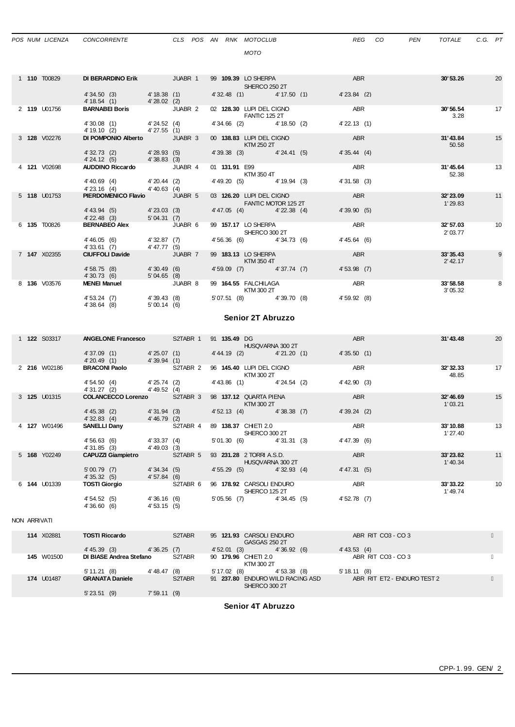*MOTO*

|  | 1 <b>110</b> T00829 | DI BERARDINO Erik                                        | JUABR 1        |               | 99 109.39 LO SHERPA<br>SHERCO 250 2T             |              | <b>ABR</b>       | 30'53.26               | 20 |
|--|---------------------|----------------------------------------------------------|----------------|---------------|--------------------------------------------------|--------------|------------------|------------------------|----|
|  |                     | 4' 34.50 (3) 4' 18.38 (1)<br>4'18.54 (1) 4'28.02 (2)     |                |               | 4' 32.48 (1) 4' 17.50 (1)                        |              | $4'23.84$ (2)    |                        |    |
|  | 2 119 U01756        | <b>BARNABEI Boris</b> JUABR 2                            |                |               | 02 128.30 LUPI DEL CIGNO<br><b>FANTIC 125 2T</b> |              | <b>ABR</b>       | 30'56.54<br>3.28       | 17 |
|  |                     | 4' 30.08 (1) 4' 24.52 (4)<br>4'19.10 (2) 4'27.55 (1)     |                |               | 4' 34.66 (2) 4' 18.50 (2)                        |              | $4'$ 22.13 $(1)$ |                        |    |
|  | 3 128 V02276        | DI POMPONIO Alberto JUABR 3                              |                |               | 00 138.83 LUPI DEL CIGNO<br>KTM 250 2T           |              | ABR              | 31'43.84<br>50.58      | 15 |
|  |                     | 4' 32.73 (2) 4' 28.93 (5)<br>4'24.12 (5) 4'38.83 (3)     |                | 4' 39.38 (3)  |                                                  | 4' 24.41 (5) | 4'35.44(4)       |                        |    |
|  | 4 121 V02698        | <b>AUDDINO Riccardo JUABR 4</b>                          |                | 01 131.91 E99 | KTM 350 4T                                       |              | ABR              | 31'45.64<br>52.38      | 13 |
|  |                     | 4'40.69 (4) 4'20.44 (2)<br>4'23.16 (4) 4'40.63 (4)       |                |               | 4' 49.20 (5) 4' 19.94 (3)                        |              | 4'31.58(3)       |                        |    |
|  |                     |                                                          |                |               |                                                  |              |                  |                        |    |
|  | 5 118 U01753        | <b>PIERDOMENICO Flavio</b> JUABR 5                       |                |               | 03 126.20 LUPI DEL CIGNO<br>FANTIC MOTOR 125 2T  |              | ABR              | 32'23.09<br>1'29.83    | 11 |
|  |                     | $4'$ 43.94 (5) $4'$ 23.03 (3)<br>4'22.48 (3) 5'04.31 (7) |                |               | 4'47.05 (4) 4'22.38 (4)                          |              | 4'39.90(5)       |                        |    |
|  | 6 135 T00826        | <b>BERNABEO Alex</b> JUABR 6                             |                |               | 99 157.17 LO SHERPA<br>SHERCO 300 2T             |              | ABR              | 32'57.03<br>2'03.77    | 10 |
|  |                     | 4'46.05 (6) 4'32.87 (7)<br>4'33.61 (7) 4'47.77 (5)       |                |               | 4'56.36 (6) 4'34.73 (6)                          |              | 4' 45.64 (6)     |                        |    |
|  | 7 147 X02355        | <b>CIUFFOLI Davide</b>                                   | <b>JUABR 7</b> |               | 99 183.13 LO SHERPA<br>KTM 350 4T                |              | ABR              | 33'35.43<br>$2'$ 42.17 | 9  |
|  |                     | 4'58.75 (8) 4'30.49 (6)                                  |                |               | 4'59.09 (7) 4'37.74 (7)                          |              | 4'53.98(7)       |                        |    |
|  | 8 136 V03576        | 4'30.73 (6) 5'04.65 (8)<br><b>MENEI Manuel</b> JUABR 8   |                |               | 99 164.55 FALCHILAGA ABR<br>KTM 300 2T           |              |                  | 33'58.58<br>3'05.32    | 8  |

### **Senior 2T Abruzzo**

|  | 1 <b>122 S03317</b> | <b>ANGELONE Francesco</b> |                            | S2TABR 1 | 91 135.49 DG         |                                              | <b>ABR</b>     | 31'43.48             | 20 |
|--|---------------------|---------------------------|----------------------------|----------|----------------------|----------------------------------------------|----------------|----------------------|----|
|  |                     |                           |                            |          |                      | HUSQVARNA 300 2T                             |                |                      |    |
|  |                     | 4'37.09(1)                | 4'25.07 (1)                |          | 4' 44.19 (2)         | 4'21.20(1)                                   | 4'35.50(1)     |                      |    |
|  |                     | 4'20.49(1)                | 4'39.94 (1)                |          |                      |                                              |                |                      |    |
|  | 2 216 W02186        | <b>BRACONI Paolo</b>      |                            | S2TABR 2 |                      | 96 145.40 LUPI DEL CIGNO<br>KTM 300 2T       | <b>ABR</b>     | 32'32.33<br>48.85    | 17 |
|  |                     | 4'54.50(4)                | 4'25.74 (2)                |          | 4'43.86 (1)          | 4'24.54(2)                                   | $4'$ 42.90 (3) |                      |    |
|  |                     | 4' 31.27 (2)              | 4'49.52 (4)                |          |                      |                                              |                |                      |    |
|  | 3 <b>125 LO1315</b> | <b>COLANCECCO Lorenzo</b> |                            | S2TABR 3 |                      | 98 137.12 QUARTA PIENA<br>KTM 300 2T         | <b>ABR</b>     | 32'46.69<br>1'03.21  | 15 |
|  |                     | $4' 45.38$ (2)            | 4'31.94 (3)                |          | 4'52.13(4)           | 4'38.38(7)<br><b>Contract Contract</b>       | 4'39.24(2)     |                      |    |
|  |                     | 4'32.83(4)                | 4'46.79(2)                 |          |                      |                                              |                |                      |    |
|  | 4 127 W01496        | <b>SANELLI Dany</b>       |                            | S2TABR 4 | 89 138.37 CHIETI 2.0 | SHERCO 300 2T                                | ABR            | 33'10.88<br>1'27.40  | 13 |
|  |                     | 4'56.63(6)<br>4'31.85 (3) | 4'33.37 (4)<br>4'49.03 (3) |          | 5'01.30 (6)          | 4'31.31 (3)                                  | 4'47.39 (6)    |                      |    |
|  | 5 168 Y02249        | <b>CAPUZZI Giampietro</b> |                            | S2TABR 5 |                      | 93 231.28 2 TORRI A.S.D.<br>HUSQVARNA 300 2T | <b>ABR</b>     | 33'23.82<br>1' 40.34 | 11 |
|  |                     | 5'00.79(7)                | 4'34.34(5)                 |          | 4'55.29(5)           | 4'32.93(4)                                   | 4' 47.31 (5)   |                      |    |
|  |                     | 4'35.32(5)                | 4'57.84(6)                 |          |                      |                                              |                |                      |    |
|  | 6 144 U01339        | <b>TOSTI Giorgio</b>      |                            | S2TABR 6 |                      | 96 178.92 CARSOLI ENDURO<br>SHERCO 125 2T    | <b>ABR</b>     | 33'33.22<br>1'49.74  | 10 |
|  |                     | 4'54.52(5)<br>4'36.60(6)  | 4'36.16(6)<br>4'53.15(5)   |          | $5'05.56$ (7)        | 4'34.45 (5)                                  | 4'52.78(7)     |                      |    |

NON ARRIVATI

| 114 X02881        | <b>TOSTI Riccardo</b>     | S2TABR | 95 121.93 CARSOLI ENDURO<br>GASGAS 250 2T         | ABR RIT CO3 - CO 3          |
|-------------------|---------------------------|--------|---------------------------------------------------|-----------------------------|
|                   | 4' 45.39(3)<br>4'36.25(7) |        | 4'36.92(6)<br>4'52.01(3)                          | $4' 43.53$ (4)              |
| <b>145</b> W01500 | DI BIASE Andrea Stefano   | S2TABR | 90 179.96 CHIETI 2.0<br>KTM 300 2T                | ABR RIT CO3 - CO 3          |
|                   | 5'11.21(8)<br>4' 48.47    | (8)    | 4'53.38 (8)<br>5'17.02(8)                         | 5'18.11(8)                  |
| 174 U01487        | <b>GRANATA Daniele</b>    | S2TABR | 91 237.80 ENDURO WILD RACING ASD<br>SHERCO 300 2T | ABR RIT ET2 - ENDURO TEST 2 |
|                   | $5'$ 23.51 (9)<br>7'59.11 | (9)    |                                                   |                             |

# **Senior 4T Abruzzo**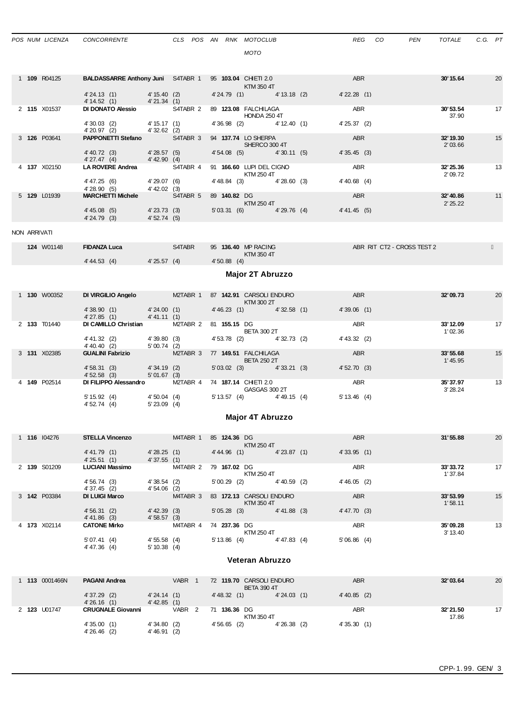|              | POS NUM LICENZA     | CONCORRENTE                                                                                                          |                              |                   |  |            | CLS POS AN RNK MOTOCLUB                                                                                                                                                                                                                                         |  | <b>REG</b>       | CO<br>PEN                  | TOTALE               | C.G. PT |    |
|--------------|---------------------|----------------------------------------------------------------------------------------------------------------------|------------------------------|-------------------|--|------------|-----------------------------------------------------------------------------------------------------------------------------------------------------------------------------------------------------------------------------------------------------------------|--|------------------|----------------------------|----------------------|---------|----|
|              |                     |                                                                                                                      |                              |                   |  |            | MOTO                                                                                                                                                                                                                                                            |  |                  |                            |                      |         |    |
|              |                     |                                                                                                                      |                              |                   |  |            |                                                                                                                                                                                                                                                                 |  |                  |                            |                      |         |    |
|              | 1 109 R04125        | <b>BALDASSARRE Anthony Juni S4TABR 1 95 103.04 CHIETI 2.0</b>                                                        |                              |                   |  |            | KTM 350 4T                                                                                                                                                                                                                                                      |  | <b>ABR</b>       |                            | 30' 15.64            |         | 20 |
|              |                     | 4'24.13 (1) 4'15.40 (2)<br>4'14.52 (1) 4'21.34 (1)                                                                   |                              |                   |  |            | 4'24.79 (1) 4'13.18 (2)                                                                                                                                                                                                                                         |  | $4'$ 22.28 $(1)$ |                            |                      |         |    |
|              | 2 115 X01537        | DI DONATO Alessio S4TABR 2 89 123.08 FALCHILAGA                                                                      |                              |                   |  |            | <b>HONDA 250 4T</b>                                                                                                                                                                                                                                             |  | ABR              |                            | 30'53.54<br>37.90    |         | 17 |
|              |                     | 4' 30.03 (2) 4' 15.17 (1)<br>4' 20.97 (2) 4' 32.62 (2)                                                               |                              |                   |  |            | 4' 36.98 (2) 4' 12.40 (1)                                                                                                                                                                                                                                       |  | 4'25.37(2)       |                            |                      |         |    |
|              | 3 126 P03641        | <b>PAPPONETTI Stefano</b> S4TABR 3 94 137.74 LO SHERPA                                                               |                              |                   |  |            |                                                                                                                                                                                                                                                                 |  | ABR              |                            | 32' 19.30            |         | 15 |
|              |                     | $4'40.72$ (3) $4'28.57$ (5)                                                                                          |                              |                   |  |            | SHERCO 300 4T<br>4'54.08 (5) 4'30.11 (5)                                                                                                                                                                                                                        |  | 4'35.45(3)       |                            | 2'03.66              |         |    |
|              | 4 137 X02150        | 4' 27.47 (4) 4' 42.90 (4)<br>LA ROVERE Andrea S4TABR 4                                                               |                              |                   |  |            | 91 166.60 LUPI DEL CIGNO                                                                                                                                                                                                                                        |  | ABR              |                            | 32'25.36             |         | 13 |
|              |                     |                                                                                                                      |                              |                   |  |            | <b>KTM 250 4T</b>                                                                                                                                                                                                                                               |  |                  |                            | 2'09.72              |         |    |
|              |                     | 4' 47.25 (6) 4' 29.07 (6)<br>4' 28.90 (5) 4' 42.02 (3)                                                               |                              |                   |  |            | 4'48.84 (3) 4'28.60 (3)                                                                                                                                                                                                                                         |  | $4' 40.68$ (4)   |                            |                      |         |    |
|              | 5 129 L01939        | MARCHETTI Michele S4TABR 5 89 140.82 DG                                                                              |                              |                   |  |            | <b>KTM 250 4T</b>                                                                                                                                                                                                                                               |  | ABR              |                            | 32'40.86<br>2'25.22  |         | 11 |
|              |                     | 4'45.08 (5) 4'23.73 (3)<br>$4' 24.79$ (3) $4' 52.74$ (5)                                                             |                              |                   |  |            | 5'03.31 (6) 4'29.76 (4) 4'41.45 (5)                                                                                                                                                                                                                             |  |                  |                            |                      |         |    |
| NON ARRIVATI |                     |                                                                                                                      |                              |                   |  |            |                                                                                                                                                                                                                                                                 |  |                  |                            |                      |         |    |
|              |                     |                                                                                                                      |                              |                   |  |            |                                                                                                                                                                                                                                                                 |  |                  |                            |                      |         |    |
|              | <b>124</b> W01148   | <b>FIDANZA Luca</b> S4TABR                                                                                           |                              |                   |  |            | 95 136.40 MP RACING<br><b>Example 12 STM 350 4T</b>                                                                                                                                                                                                             |  |                  | ABR RIT CT2 - CROSS TEST 2 |                      |         |    |
|              |                     | 4'44.53 (4) 4'25.57 (4)                                                                                              |                              |                   |  | 4'50.88(4) |                                                                                                                                                                                                                                                                 |  |                  |                            |                      |         |    |
|              |                     |                                                                                                                      |                              |                   |  |            | <b>Major 2T Abruzzo</b>                                                                                                                                                                                                                                         |  |                  |                            |                      |         |    |
|              | 1 <b>130</b> W00352 | DIVIRGILIO Angelo M2TABR 1 87 142.91 CARSOLI ENDURO                                                                  |                              |                   |  |            |                                                                                                                                                                                                                                                                 |  | ABR              |                            | 32'09.73             |         | 20 |
|              |                     |                                                                                                                      |                              |                   |  |            | $\blacksquare$ $\blacksquare$ $\blacksquare$ $\blacksquare$ $\blacksquare$ $\blacksquare$ $\blacksquare$ $\blacksquare$ $\blacksquare$ $\blacksquare$ $\blacksquare$ $\blacksquare$ $\blacksquare$ $\blacksquare$ $\blacksquare$<br>$4'46.23$ (1) $4'32.58$ (1) |  | 4'39.06(1)       |                            |                      |         |    |
|              | 2 133 T01440        | 4' 38.90 (1) 4' 24.00 (1)<br>4' 27.85 (1) 4' 41.11 (1)<br>DI CAMILLO Christian M2TABR 2 81 155.15 DG                 |                              |                   |  |            |                                                                                                                                                                                                                                                                 |  | ABR              |                            | 33'12.09             |         | 17 |
|              |                     |                                                                                                                      |                              |                   |  |            | <b>BETA 300 2T</b>                                                                                                                                                                                                                                              |  |                  |                            | 1'02.36              |         |    |
|              |                     | 4'41.32 (2) 4'39.80 (3)<br>4' 40.40 (2) 5' 00.74 (2)<br><b>GUALINI Fabrizio</b> M2TABR 3 77 <b>149.51</b> FALCHILAGA |                              |                   |  |            | 4' 53.78 (2) 4' 32.73 (2)                                                                                                                                                                                                                                       |  | 4' 43.32 (2)     |                            |                      |         |    |
|              | 3 131 X02385        |                                                                                                                      |                              |                   |  |            | <b>BETA 250 2T</b>                                                                                                                                                                                                                                              |  | <b>ABR</b>       |                            | 33'55.68<br>1'45.95  |         | 15 |
|              |                     | 4' 58.31 (3) 4' 34.19 (2)<br>4' 52.58 (3) 5' 01.67 (3)                                                               |                              |                   |  |            | $5'03.02$ (3) $4'33.21$ (3)                                                                                                                                                                                                                                     |  | 4'52.70(3)       |                            |                      |         |    |
|              | 4 149 P02514        | DI FILIPPO Alessandro M2TABR 4                                                                                       |                              |                   |  |            | 74 187.14 CHIETI 2.0<br>GASGAS 300 2T                                                                                                                                                                                                                           |  | ABR              |                            | 35'37.97<br>3' 28.24 |         | 13 |
|              |                     | $5'15.92$ (4) $4'50.04$ (4)                                                                                          | $5'23.09$ (4)                |                   |  |            | $5'13.57$ (4) $4'49.15$ (4)                                                                                                                                                                                                                                     |  | 5'13.46(4)       |                            |                      |         |    |
|              |                     | 4' 52.74 (4)                                                                                                         |                              |                   |  |            | Major 4T Abruzzo                                                                                                                                                                                                                                                |  |                  |                            |                      |         |    |
|              |                     |                                                                                                                      |                              |                   |  |            |                                                                                                                                                                                                                                                                 |  |                  |                            |                      |         |    |
|              | 1 116 104276        | STELLA Vincenzo M4TABR 1 85 124.36 DG                                                                                |                              |                   |  |            | KTM 250 4T                                                                                                                                                                                                                                                      |  | ABR              |                            | 31'55.88             |         | 20 |
|              |                     | 4' 41.79 (1)                                                                                                         | 4'28.25(1)                   |                   |  |            | 4'44.96 (1) 4'23.87 (1)                                                                                                                                                                                                                                         |  | 4'33.95(1)       |                            |                      |         |    |
|              | 2 139 S01209        | 4'25.51(1)<br><b>LUCIANI Massimo</b>                                                                                 | 4'37.55(1)                   |                   |  |            | M4TABR 2 79 167.02 DG                                                                                                                                                                                                                                           |  | ABR              |                            | 33'33.72             |         | 17 |
|              |                     | 4'56.74(3)                                                                                                           | 4'38.54(2)                   |                   |  |            | <b>KTM 250 4T</b><br>$5'00.29$ (2) $4'40.59$ (2)                                                                                                                                                                                                                |  | 4'46.05(2)       |                            | 1'37.84              |         |    |
|              | 3 142 P03384        | 4'37.45 (2)<br><b>DI LUIGI Marco</b>                                                                                 | 4'54.06(2)                   |                   |  |            | M4TABR 3 83 172.13 CARSOLI ENDURO                                                                                                                                                                                                                               |  | ABR              |                            | 33'53.99             |         | 15 |
|              |                     |                                                                                                                      |                              |                   |  |            | KTM 350 4T                                                                                                                                                                                                                                                      |  |                  |                            | 1'58.11              |         |    |
|              |                     | 4' 56.31 (2)<br>$4' 41.86$ (3)                                                                                       | 4'42.39 (3)<br>4'58.57(3)    |                   |  |            | $5'05.28$ (3) $4'41.88$ (3)                                                                                                                                                                                                                                     |  | 4' 47.70(3)      |                            |                      |         |    |
|              | 4 173 X02114        | <b>CATONE Mirko</b>                                                                                                  | M4TABR 4 74 237.36 DG        |                   |  |            | <b>KTM 250 4T</b>                                                                                                                                                                                                                                               |  | ABR              |                            | 35'09.28<br>3' 13.40 |         | 13 |
|              |                     | 5'07.41(4)<br>4'47.36 (4)                                                                                            | 4'55.58(4)<br>$5' 10.38$ (4) |                   |  |            | $5'13.86$ (4) $4'47.83$ (4)                                                                                                                                                                                                                                     |  | 5'06.86(4)       |                            |                      |         |    |
|              |                     |                                                                                                                      |                              |                   |  |            | Veteran Abruzzo                                                                                                                                                                                                                                                 |  |                  |                            |                      |         |    |
|              |                     |                                                                                                                      |                              |                   |  |            |                                                                                                                                                                                                                                                                 |  |                  |                            |                      |         |    |
|              | 1 113 0001466N      | <b>PAGANI Andrea</b>                                                                                                 | VABR <sub>1</sub>            |                   |  |            | 72 119.70 CARSOLI ENDURO<br><b>BETA 390 4T</b>                                                                                                                                                                                                                  |  | <b>ABR</b>       |                            | 32'03.64             |         | 20 |
|              |                     | 4' 37.29 (2)                                                                                                         | 4'24.14(1)                   |                   |  |            | 4'48.32 (1) 4'24.03 (1)                                                                                                                                                                                                                                         |  | $4' 40.85$ (2)   |                            |                      |         |    |
|              | 2 123 U01747        | $4'26.16$ (1) $4'42.85$ (1)<br><b>CRUGNALE Giovanni</b>                                                              |                              | VABR <sub>2</sub> |  |            | 71 136.36 DG<br>$LT$ M $2E$ O $AT$                                                                                                                                                                                                                              |  | ABR              |                            | 32'21.50<br>47.00    |         | 17 |

4' 35.00 (1) 4' 34.80 (2) 4' 56.65 (2) 4' 26.38 (2) 4' 35.30 (1)

4' 35.00 (1) 4' 34.80 (2)<br>4' 26.46 (2) 4' 46.91 (2)

KTM 350 4T 17.86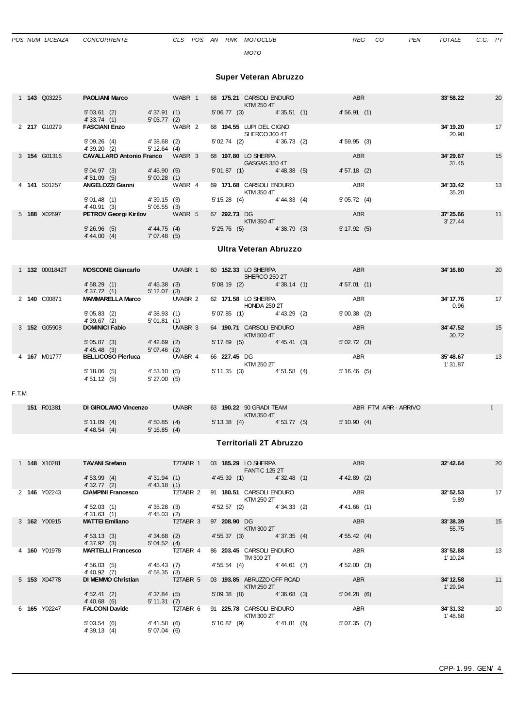*MOTO*

### **Super Veteran Abruzzo**

|  | 1 <b>143</b> Q03225 | <b>PAOLIANI Marco</b>           |                                 | WABR 1 |                          | 68 175.21 CARSOLI ENDURO<br>KTM 250 4T | <b>ABR</b>   | 33'58.22            | 20 |
|--|---------------------|---------------------------------|---------------------------------|--------|--------------------------|----------------------------------------|--------------|---------------------|----|
|  |                     | 5'03.61(2)<br>4'33.74(1)        | 4'37.91(1)<br>5'03.77(2)        |        | 5'06.77(3)               | 4'35.51(1)                             | 4'56.91(1)   |                     |    |
|  | 2 217 G10279        | <b>FASCIANI Enzo</b>            |                                 | WABR 2 | 68 194.55 LUPI DEL CIGNO | SHERCO 300 4T                          |              | 34' 19.20<br>20.98  | 17 |
|  |                     | 5'09.26(4)<br>4' 39.20 (2)      | $4'38.68$ (2)<br>$5' 12.64$ (4) |        | 5'02.74(2)               | 4'36.73 (2)                            | 4'59.95(3)   |                     |    |
|  | 3 154 G01316        | <b>CAVALLARO Antonio Franco</b> |                                 | WABR 3 | 68 197.80 LO SHERPA      | GASGAS 350 4T                          | <b>ABR</b>   | 34'29.67<br>31.45   | 15 |
|  |                     | 5'04.97(3)<br>4'51.09(5)        | 4'45.90(5)<br>5'00.28(1)        |        | 5'01.87(1)               | 4' 48.38(5)                            | 4'57.18(2)   |                     |    |
|  | 4 141 S01257        | ANGELOZZI Gianni                |                                 | WABR 4 |                          | 69 171.68 CARSOLI ENDURO<br>KTM 350 4T | <b>ABR</b>   | 34' 33.42<br>35.20  | 13 |
|  |                     | 5'01.48(1)<br>4'40.91 (3)       | 4'39.15(3)<br>5'06.55(3)        |        | $5' 15.28$ (4)           | 4'44.33 (4)                            | 5'05.72(4)   |                     |    |
|  | 5 <b>188</b> X02697 | <b>PETROV Georgi Kirilov</b>    |                                 | WABR 5 | 67 292.73 DG             | KTM 350 4T                             | <b>ABR</b>   | 37'25.66<br>3'27.44 | 11 |
|  |                     | 5'26.96(5)<br>4' 44.00 (4)      | 4' 44.75 (4)<br>7'07.48(5)      |        | 5'25.76(5)               | 4'38.79(3)                             | 5' 17.92 (5) |                     |    |

### **Ultra Veteran Abruzzo**

|  | 1 132 0001842T | <b>MOSCONE Giancarlo</b>     | UVABR 1                          | 60 152.33 LO SHERPA<br>SHERCO 250 2T       | <b>ABR</b>                   | 34' 16.80           | 20 |
|--|----------------|------------------------------|----------------------------------|--------------------------------------------|------------------------------|---------------------|----|
|  |                | 4'58.29(1)<br>4'37.72 (1)    | $4' 45.38$ (3)<br>$5' 12.07$ (3) | 5'08.19(2)                                 | 4'38.14(1)<br>4'57.01(1)     |                     |    |
|  | 2 140 C00871   | <b>MAMMARELLA Marco</b>      | UVABR 2                          | 62 171.58 LO SHERPA<br><b>HONDA 250 2T</b> | <b>ABR</b>                   | 34' 17.76<br>0.96   | 17 |
|  |                | 5'05.83(2)<br>4'39.67(2)     | 4'38.93(1)<br>5'01.81(1)         | 5'07.85(1)                                 | 5'00.38(2)<br>$4' 43.29$ (2) |                     |    |
|  | 3 152 G05908   | <b>DOMINICI Fabio</b>        | UVABR 3                          | 64 190.71 CARSOLI ENDURO<br>KTM 500 4T     | <b>ABR</b>                   | 34' 47.52<br>30.72  | 15 |
|  |                | 5'05.87(3)<br>$4' 45.48$ (3) | $4' 42.69$ (2)<br>5'07.46(2)     | $5' 17.89$ (5)                             | 4'45.41(3)<br>5'02.72(3)     |                     |    |
|  | 4 167 M01777   | <b>BELLICOSO Pierluca</b>    | UVABR 4                          | 66 227.45 DG<br>KTM 250 2T                 | <b>ABR</b>                   | 35'48.67<br>1'31.87 | 13 |
|  |                | 5'18.06(5)<br>4'51.12(5)     | 4'53.10(5)<br>5'27.00(5)         | 5'11.35(3)                                 | 4'51.58(4)<br>5'16.46(5)     |                     |    |

#### F.T.M.

| R01381<br>151 | DI GIROLAMO Vincenzo |              | <b>UVABR</b> | 63 190.22 90 GRADI TEAM |            | ABR FTM ARR - ARRIVO |  |
|---------------|----------------------|--------------|--------------|-------------------------|------------|----------------------|--|
|               |                      |              |              | KTM 350 4T              |            |                      |  |
|               | 5'11.09(4)           | 4'50.85(4)   |              | $5' 13.38$ (4)          | 4'53.77(5) | 5'10.90(4)           |  |
|               | 4' 48.54(4)          | 5' 16.85 (4) |              |                         |            |                      |  |

# **Territoriali 2T Abruzzo**

|  | 1 <b>148</b> X10281 | <b>TAVANI Stefano</b>        |                            | T2TABR 1 |                | 03 185.29 LO SHERPA<br><b>FANTIC 125 2T</b> |                | <b>ABR</b>     | 32' 42.64            | 20 |
|--|---------------------|------------------------------|----------------------------|----------|----------------|---------------------------------------------|----------------|----------------|----------------------|----|
|  |                     | 4'53.99(4)<br>4'32.77(2)     | 4'31.94 (1)<br>4' 43.18(1) |          | 4' 45.39(1)    |                                             | 4'32.48(1)     | $4' 42.89$ (2) |                      |    |
|  | 2 146 Y02243        | <b>CIAMPINI Francesco</b>    |                            | T2TABR 2 |                | 91 180.51 CARSOLI ENDURO<br>KTM 250 2T      |                | <b>ABR</b>     | 32'52.53<br>9.89     | 17 |
|  |                     | 4'52.03(1)<br>4'31.63(1)     | 4'35.28(3)<br>4'45.03 (2)  |          | 4' 52.57 (2)   |                                             | 4'34.33(2)     | 4' 41.66 (1)   |                      |    |
|  | 3 162 Y00915        | <b>MATTEI Emiliano</b>       |                            | T2TABR 3 | 97 208.90 DG   | KTM 300 2T                                  |                | <b>ABR</b>     | 33'38.39<br>55.75    | 15 |
|  |                     | 4'53.13(3)<br>4'37.92(3)     | 4'34.68(2)<br>5'04.52(4)   |          | 4' 55.37 (3)   |                                             | 4'37.35(4)     | 4'55.42(4)     |                      |    |
|  | 4 160 Y01978        | <b>MARTELLI Francesco</b>    |                            | T2TABR 4 |                | 86 203.45 CARSOLI ENDURO<br>TM 300 2T       |                | <b>ABR</b>     | 33'52.88<br>1'10.24  | 13 |
|  |                     | 4'56.03(5)<br>4' 40.92 (7)   | 4'45.43 (7)<br>4'58.35(3)  |          | 4'55.54(4)     |                                             | 4'44.61(7)     | 4'52.00(3)     |                      |    |
|  | 5 <b>153</b> X04778 | DI MEMMO Christian           |                            | T2TABR 5 |                | 03 193.85 ABRUZZO OFF ROAD<br>KTM 250 2T    |                | <b>ABR</b>     | 34' 12.58<br>1'29.94 | 11 |
|  |                     | 4'52.41(2)<br>$4' 40.68$ (6) | 4'37.84(5)<br>5' 11.31 (7) |          | 5'09.38(8)     |                                             | $4'36.68$ (3)  | 5'04.28(6)     |                      |    |
|  | 6 165 Y02247        | <b>FALCONI Davide</b>        |                            | T2TABR 6 |                | 91 225.78 CARSOLI ENDURO<br>KTM 300 2T      |                | <b>ABR</b>     | 34'31.32<br>1'48.68  | 10 |
|  |                     | 5'03.54(6)<br>4'39.13(4)     | 4'41.58 (6)<br>5'07.04(6)  |          | $5' 10.87$ (9) |                                             | $4' 41.81$ (6) | 5'07.35(7)     |                      |    |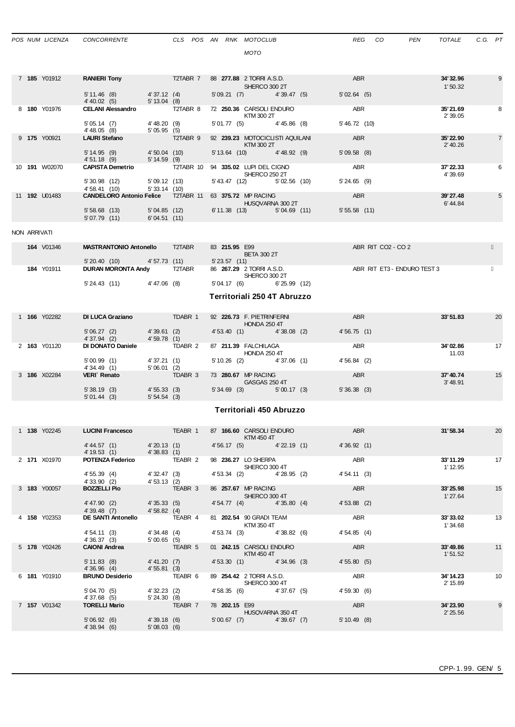| ۰.<br>×<br>۰. | ۰.<br>۰.<br>× |  |
|---------------|---------------|--|

|    | 7 185 Y01912         | <b>RANIERI Tony</b>             |                            | T2TABR 7  | 88 277.88 2 TORRI A.S.D.                      |                  | <b>ABR</b>      | 34' 32.96             | 9              |
|----|----------------------|---------------------------------|----------------------------|-----------|-----------------------------------------------|------------------|-----------------|-----------------------|----------------|
|    |                      |                                 |                            |           | SHERCO 300 2T                                 |                  |                 | 1'50.32               |                |
|    |                      | $5' 11.46$ (8)                  | 4'37.12(4)                 |           | 5'09.21(7)                                    | 4'39.47(5)       | 5'02.64(5)      |                       |                |
|    |                      | 4' 40.02 (5)                    | 5' 13.04 (8)               |           |                                               |                  |                 |                       |                |
|    | 8 180 Y01976         | <b>CELANI Alessandro</b>        |                            | T2TABR 8  | 72 250.36 CARSOLI ENDURO<br>KTM 300 2T        |                  | <b>ABR</b>      | 35'21.69<br>2'39.05   | 8              |
|    |                      | 5'05.14(7)<br>4' 48.05 (8)      | 4' 48.20 (9)<br>5'05.95(5) |           | 5'01.77(5)                                    | $4' 45.86$ (8)   | $5' 46.72$ (10) |                       |                |
|    | 9 175 Y00921         | <b>LAURI Stefano</b>            |                            | T2TABR 9  | 92 239.23 MOTOCICLISTI AQUILANI<br>KTM 300 2T |                  | <b>ABR</b>      | 35' 22.90<br>2' 40.26 | $\overline{7}$ |
|    |                      | 5' 14.95 (9)                    | 4'50.04(10)                |           | $5'13.64$ (10)                                | $4' 48.92$ (9)   | 5'09.58(8)      |                       |                |
|    |                      | 4'51.18(9)                      | 5' 14.59 (9)               |           |                                               |                  |                 |                       |                |
| 10 | <b>191</b> W02070    | <b>CAPISTA Demetrio</b>         |                            | T2TABR 10 | 94 335.02 LUPI DEL CIGNO<br>SHERCO 250 2T     |                  | <b>ABR</b>      | 37'22.33<br>4'39.69   | 6              |
|    |                      | $5'30.98$ (12)                  | 5'09.12(13)                |           | 5' 43.47 (12)                                 | 5'02.56(10)      | 5'24.65(9)      |                       |                |
|    |                      | 4'58.41 (10)                    | $5'33.14$ (10)             |           |                                               |                  |                 |                       |                |
|    | 11 <b>192</b> U01483 | <b>CANDELORO Antonio Felice</b> |                            | T2TABR 11 | 63 375.72 MP RACING                           | HUSQVARNA 300 2T | <b>ABR</b>      | 39'27.48<br>6'44.84   | 5              |
|    |                      | 5'58.68(13)                     | 5'04.85(12)                |           | 6' 11.38 (13)                                 | 5'04.69(11)      | 5'55.58(11)     |                       |                |
|    |                      | 5'07.79(11)                     | 6'04.51(11)                |           |                                               |                  |                 |                       |                |

NON ARRIVATI

| V01346<br>164 | <b>MASTRANTONIO Antonello</b> | T2TABR | 83 215.95 E99<br><b>BETA 300 2T</b>       | ABR RIT CO2 - CO 2          |
|---------------|-------------------------------|--------|-------------------------------------------|-----------------------------|
|               | 5'20.40(10)<br>4'57.73 (11)   |        | 5' 23.57<br>(11)                          |                             |
| Y01911<br>184 | <b>DURAN MORONTA Andy</b>     | T2TABR | 86 267.29 2 TORRI A.S.D.<br>SHERCO 300 2T | ABR RIT ET3 - ENDURO TEST 3 |
|               | 5' 24.43 (11)<br>4'47.06 (8)  |        | 5'04.17 (6)<br>6'25.99 (12)               |                             |

**Territoriali 250 4T Abruzzo**

| Y02282<br><b>DI LUCA Graziano</b><br>1 166 |              |                          | TDABR 1                  |         | 92 226.73 F. PIETRINFERNI<br><b>HONDA 250 4T</b> |                                             | <b>ABR</b>    | 33'51.83   | 20                  |    |
|--------------------------------------------|--------------|--------------------------|--------------------------|---------|--------------------------------------------------|---------------------------------------------|---------------|------------|---------------------|----|
|                                            |              | 5'06.27(2)<br>4'37.94(2) | 4'39.61(2)<br>4'59.78(1) |         | 4' 53.40 (1)                                     |                                             | $4'38.08$ (2) | 4'56.75(1) |                     |    |
|                                            | 2 163 Y01120 | DI DONATO Daniele        |                          | TDABR 2 |                                                  | 87 211.39 FALCHILAGA<br><b>HONDA 250 4T</b> |               | <b>ABR</b> | 34'02.86<br>11.03   | 17 |
|                                            |              | 5'00.99(1)<br>4'34.49(1) | 4'37.21(1)<br>5'06.01(2) |         | 5'10.26(2)                                       |                                             | 4'37.06(1)    | 4'56.84(2) |                     |    |
|                                            | 3 186 X02284 | VERI Renato              |                          | TDABR 3 |                                                  | 73 280.67 MP RACING<br>GASGAS 250 4T        |               | <b>ABR</b> | 37'40.74<br>3'48.91 | 15 |
|                                            |              | 5'38.19(3)<br>5'01.44(3) | 4'55.33(3)<br>5'54.54(3) |         | $5'34.69$ (3)                                    |                                             | 5'00.17(3)    | 5'36.38(3) |                     |    |

# **Territoriali 450 Abruzzo**

|  | 1 138 Y02245        | <b>LUCINI Francesco</b>      |                              | TEABR 1 |               | 87 166.60 CARSOLI ENDURO<br>KTM 450 4T    | ABR           | 31'58.34              | 20 |
|--|---------------------|------------------------------|------------------------------|---------|---------------|-------------------------------------------|---------------|-----------------------|----|
|  |                     | 4' 44.57(1)<br>4' 19.53 (1)  | 4'20.13 (1)<br>4'38.83(1)    |         |               | 4'56.17 (5) 4'22.19 (1)                   | 4'36.92(1)    |                       |    |
|  | 2 171 X01970        | <b>POTENZA Federico</b>      |                              | TEABR 2 |               | 98 236.27 LO SHERPA<br>SHERCO 300 4T      | <b>ABR</b>    | 33'11.29<br>1' 12.95  | 17 |
|  |                     | 4' 55.39 (4)<br>4' 33.90 (2) | 4' 32.47 (3)<br>4' 53.13 (2) |         | 4' 53.34 (2)  | 4'28.95 (2)                               | 4'54.11(3)    |                       |    |
|  | 3 183 Y00057        | <b>BOZZELLI Pio</b>          |                              | TEABR 3 |               | 86 257.67 MP RACING<br>SHERCO 300 4T      | <b>ABR</b>    | 33'25.98<br>1'27.64   | 15 |
|  |                     | 4' 47.90 (2)<br>4'39.48(7)   | 4'35.33 (5)<br>4'58.82(4)    |         | 4'54.77(4)    | 4'35.80(4)                                | $4'53.88$ (2) |                       |    |
|  | 4 158 Y02353        | <b>DE SANTI Antonello</b>    |                              | TEABR 4 |               | 81 202.54 90 GRADI TEAM<br>KTM 350 4T     | ABR           | 33'33.02<br>1'34.68   | 13 |
|  |                     | 4' 54.11 (3)<br>4'36.37(3)   | 4'34.48 (4)<br>5'00.65(5)    |         | 4' 53.74 (3)  | 4'38.82(6)                                | 4'54.85(4)    |                       |    |
|  | 5 <b>178</b> Y02426 | <b>CAIONI Andrea</b>         |                              | TEABR 5 |               | 01 242.15 CARSOLI ENDURO<br>KTM 450 4T    | <b>ABR</b>    | 33'49.86<br>1'51.52   | 11 |
|  |                     | $5' 11.83$ (8)<br>4'36.96(4) | 4' 41.20 (7)<br>4'55.81(3)   |         | 4'53.30(1)    | 4'34.96 (3)                               | 4'55.80(5)    |                       |    |
|  | 6 181 Y01910        | <b>BRUNO Desiderio</b>       |                              | TEABR 6 |               | 89 254.42 2 TORRI A.S.D.<br>SHERCO 300 4T | <b>ABR</b>    | 34' 14.23<br>2' 15.89 | 10 |
|  |                     | 5'04.70(5)<br>4'37.68(5)     | 4'32.23 (2)<br>5'24.30(8)    |         | 4'58.35(6)    | 4'37.67 (5)                               | 4'59.30(6)    |                       |    |
|  | 7 157 V01342        | <b>TORELLI Mario</b>         |                              | TEABR 7 | 78 202.15 E99 | HUSQVARNA 350 4T                          | <b>ABR</b>    | 34'23.90<br>2' 25.56  | 9  |
|  |                     | 5'06.92(6)<br>4'38.94(6)     | 4'39.18(6)<br>5'08.03(6)     |         | $5'00.67$ (7) | 4'39.67(7)                                | $5'10.49$ (8) |                       |    |